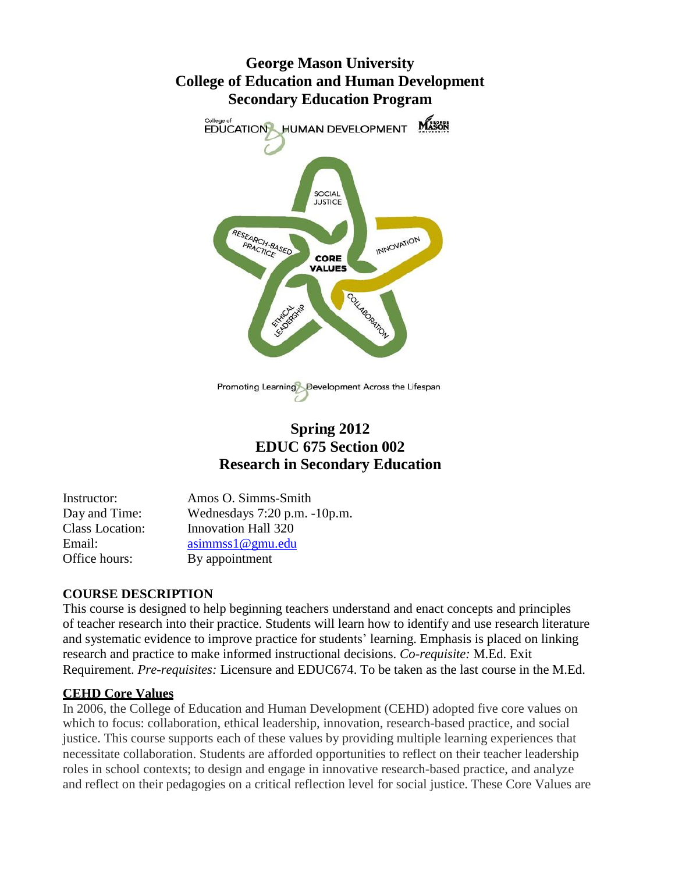# **George Mason University College of Education and Human Development Secondary Education Program**



Promoting Learning Development Across the Lifespan

# **Spring 2012 EDUC 675 Section 002 Research in Secondary Education**

| Instructor:            | Amos O. Simms-Smith               |
|------------------------|-----------------------------------|
| Day and Time:          | Wednesdays $7:20$ p.m. $-10$ p.m. |
| <b>Class Location:</b> | <b>Innovation Hall 320</b>        |
| Email:                 | asimms1@gmu.edu                   |
| Office hours:          | By appointment                    |

# **COURSE DESCRIPTION**

This course is designed to help beginning teachers understand and enact concepts and principles of teacher research into their practice. Students will learn how to identify and use research literature and systematic evidence to improve practice for students' learning. Emphasis is placed on linking research and practice to make informed instructional decisions. *Co-requisite:* M.Ed. Exit Requirement. *Pre-requisites:* Licensure and EDUC674. To be taken as the last course in the M.Ed.

# **CEHD Core Values**

In 2006, the College of Education and Human Development (CEHD) adopted five core values on which to focus: collaboration, ethical leadership, innovation, research-based practice, and social justice. This course supports each of these values by providing multiple learning experiences that necessitate collaboration. Students are afforded opportunities to reflect on their teacher leadership roles in school contexts; to design and engage in innovative research-based practice, and analyze and reflect on their pedagogies on a critical reflection level for social justice. These Core Values are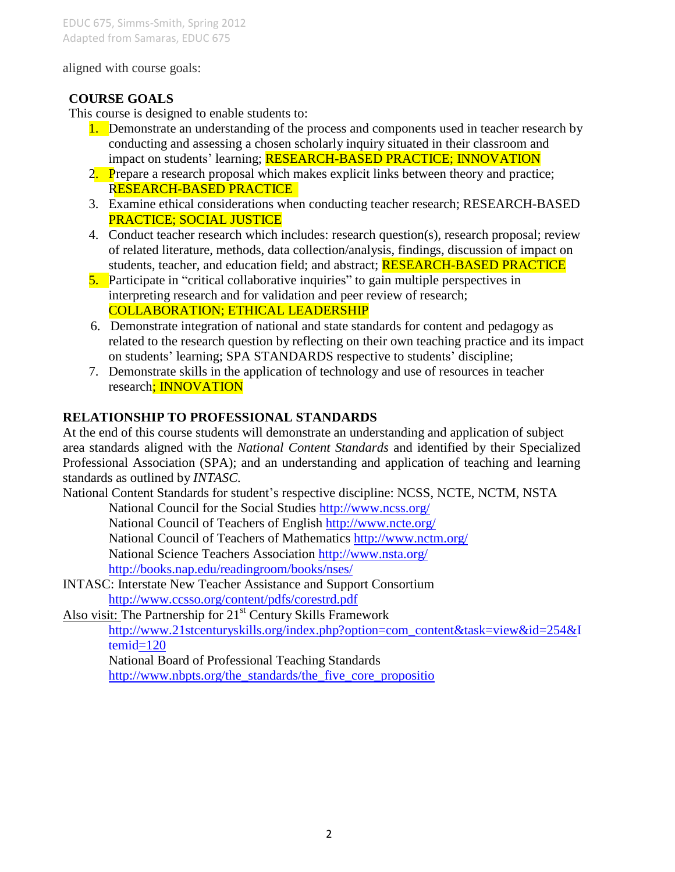#### aligned with course goals:

#### **COURSE GOALS**

This course is designed to enable students to:

- 1. Demonstrate an understanding of the process and components used in teacher research by conducting and assessing a chosen scholarly inquiry situated in their classroom and impact on students' learning; RESEARCH-BASED PRACTICE; INNOVATION
- 2. Prepare a research proposal which makes explicit links between theory and practice; RESEARCH-BASED PRACTICE
- 3. Examine ethical considerations when conducting teacher research; RESEARCH-BASED PRACTICE; SOCIAL JUSTICE
- 4. Conduct teacher research which includes: research question(s), research proposal; review of related literature, methods, data collection/analysis, findings, discussion of impact on students, teacher, and education field; and abstract; **RESEARCH-BASED PRACTICE**
- 5. Participate in "critical collaborative inquiries" to gain multiple perspectives in interpreting research and for validation and peer review of research; COLLABORATION; ETHICAL LEADERSHIP
- 6. Demonstrate integration of national and state standards for content and pedagogy as related to the research question by reflecting on their own teaching practice and its impact on students' learning; SPA STANDARDS respective to students' discipline;
- 7. Demonstrate skills in the application of technology and use of resources in teacher research; INNOVATION

### **RELATIONSHIP TO PROFESSIONAL STANDARDS**

At the end of this course students will demonstrate an understanding and application of subject area standards aligned with the *National Content Standards* and identified by their Specialized Professional Association (SPA); and an understanding and application of teaching and learning standards as outlined by *INTASC.*

National Content Standards for student's respective discipline: NCSS, NCTE, NCTM, NSTA

National Council for the Social Studies<http://www.ncss.org/>

National Council of Teachers of English<http://www.ncte.org/>

National Council of Teachers of Mathematics<http://www.nctm.org/>

National Science Teachers Association<http://www.nsta.org/>

[http://books.nap.edu/readingroom/books/nses/](http://www.nsta.org/)

INTASC: Interstate New Teacher Assistance and [Support Consortium](http://www.ccsso.org/content/pdfs/corestrd.pdf)  <http://www.ccsso.org/content/pdfs/corestrd.pdf>

Also visit: The Partnership for  $21<sup>st</sup>$  Century Skills Framework [http://www.21stcenturyskills.org/index.php?option=com\\_content&task=view&id=254&I](http://www.21stcenturyskills.org/index.php?option=com_content&task=view&id=254&Itemid=120) temid=120

National Board of Professional Teaching Standards

[http://www.nbpts.org/the\\_standards/the\\_five\\_core\\_propositio](http://www.nbpts.org/the_standards/the_five_core_propositio)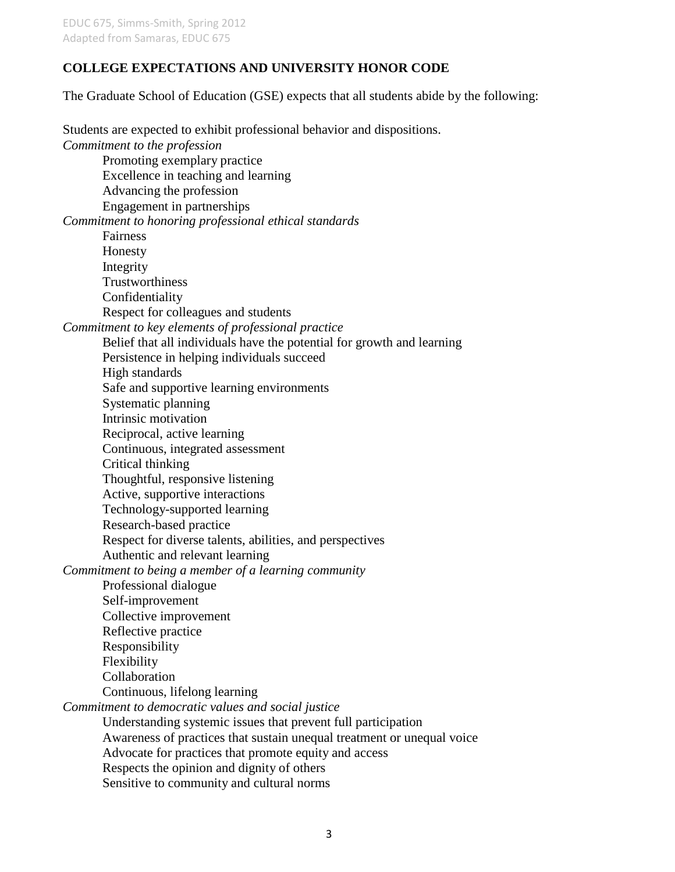#### **COLLEGE EXPECTATIONS AND UNIVERSITY HONOR CODE**

The Graduate School of Education (GSE) expects that all students abide by the following:

Students are expected to exhibit professional behavior and dispositions. *Commitment to the profession*  Promoting exemplary practice Excellence in teaching and learning Advancing the profession Engagement in partnerships *Commitment to honoring professional ethical standards* Fairness Honesty Integrity **Trustworthiness** Confidentiality Respect for colleagues and students *Commitment to key elements of professional practice* Belief that all individuals have the potential for growth and learning Persistence in helping individuals succeed High standards Safe and supportive learning environments Systematic planning Intrinsic motivation Reciprocal, active learning Continuous, integrated assessment Critical thinking Thoughtful, responsive listening Active, supportive interactions Technology-supported learning Research-based practice Respect for diverse talents, abilities, and perspectives Authentic and relevant learning *Commitment to being a member of a learning community* Professional dialogue Self-improvement Collective improvement Reflective practice Responsibility Flexibility Collaboration Continuous, lifelong learning *Commitment to democratic values and social justice* Understanding systemic issues that prevent full participation Awareness of practices that sustain unequal treatment or unequal voice Advocate for practices that promote equity and access Respects the opinion and dignity of others Sensitive to community and cultural norms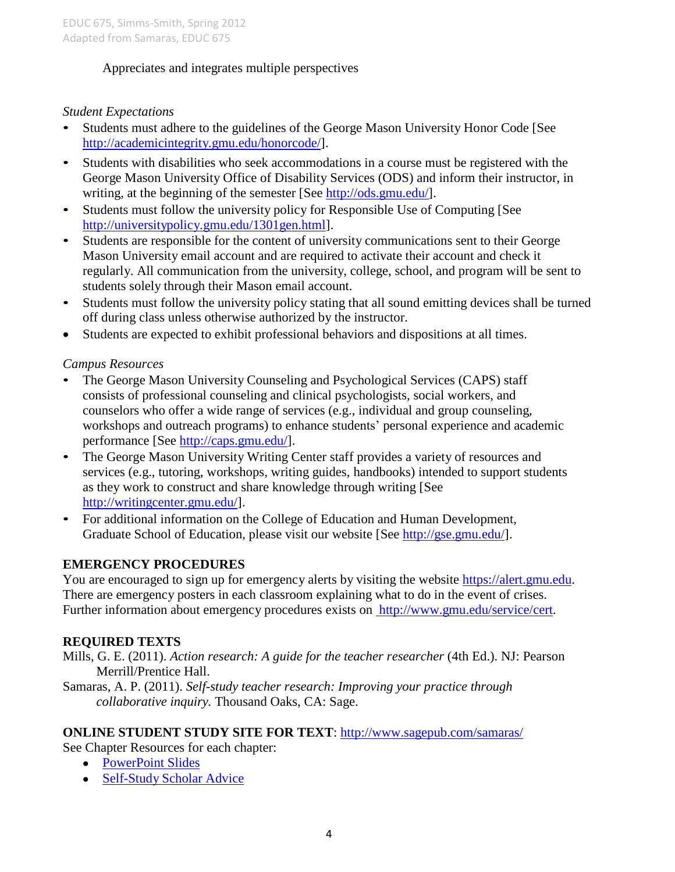# Appreciates and integrates multiple perspectives

### *Student Expectations*

- Students must adhere to the guidelines of the George Mason University Honor Code [See [http://academicintegrity.gmu.edu/honorcode/\]](http://academicintegrity.gmu.edu/honorcode/).
- Students with disabilities who seek accommodations in a course must be registered with the George Mason University Office of Disability Services (ODS) and inform their instructor, in writing, at the beginning of the semester [See [http://ods.gmu.edu/\]](http://ods.gmu.edu/).
- Students must follow the university policy for Responsible Use of Computing [See [http://universitypolicy.gmu.edu/1301gen.html\]](http://universitypolicy.gmu.edu/1301gen.html).
- Students are responsible for the content of university communications sent to their George Mason University email account and are required to activate their account and check it regularly. All communication from the university, college, school, and program will be sent to students solely through their Mason email account.
- Students must follow the university policy stating that all sound emitting devices shall be turned off during class unless otherwise authorized by the instructor.
- Students are expected to exhibit professional behaviors and dispositions at all times.

### *Campus Resources*

- The George Mason University Counseling and Psychological Services (CAPS) staff consists of professional counseling and clinical psychologists, social workers, and counselors who offer a wide range of services (e.g., individual and group counseling, workshops and outreach programs) to enhance students' personal experience and academic performance [See [http://caps.gmu.edu/\]](http://caps.gmu.edu/).
- The George Mason University Writing Center staff provides a variety of resources and services (e.g., tutoring, workshops, writing guides, handbooks) intended to support students as they work to construct and share knowledge through writing [See [http://writingcenter.gmu.edu/\]](http://writingcenter.gmu.edu/).
- For additional information on the College of Education and Human Development, Graduate School of Education, please visit our website [See [http://gse.gmu.edu/\]](http://gse.gmu.edu/).

# **EMERGENCY PROCEDURES**

You are encouraged to sign up for emergency alerts by visiting the website [https://alert.gmu.edu.](https://alert.gmu.edu/) There are emergency posters in each classroom explaining what to do in the event of crises. Further information about emergency procedures exists on [http://www.gmu.edu/service/cert.](http://www.gmu.edu/service/cert)

# **REQUIRED TEXTS**

Mills, G. E. (2011). *Action research: A guide for the teacher researcher* (4th Ed.). NJ: Pearson Merrill/Prentice Hall.

Samaras, A. P. (2011). *Self-study teacher research: Improving your practice through collaborative inquiry.* Thousand Oaks, CA: Sage.

#### **ONLINE STUDENT STUDY SITE FOR TEXT**:<http://www.sagepub.com/samaras/>

See Chapter Resources for each chapter:

- [PowerPoint Slides](http://www.sagepub.com/samaras/chapters/PPTs/Ch01PPT.ppt)
- [Self-Study](http://www.sagepub.com/samaras/chapters/Scholar%20Advice/Ch01ScholarAdvice.pdf) Scholar Advice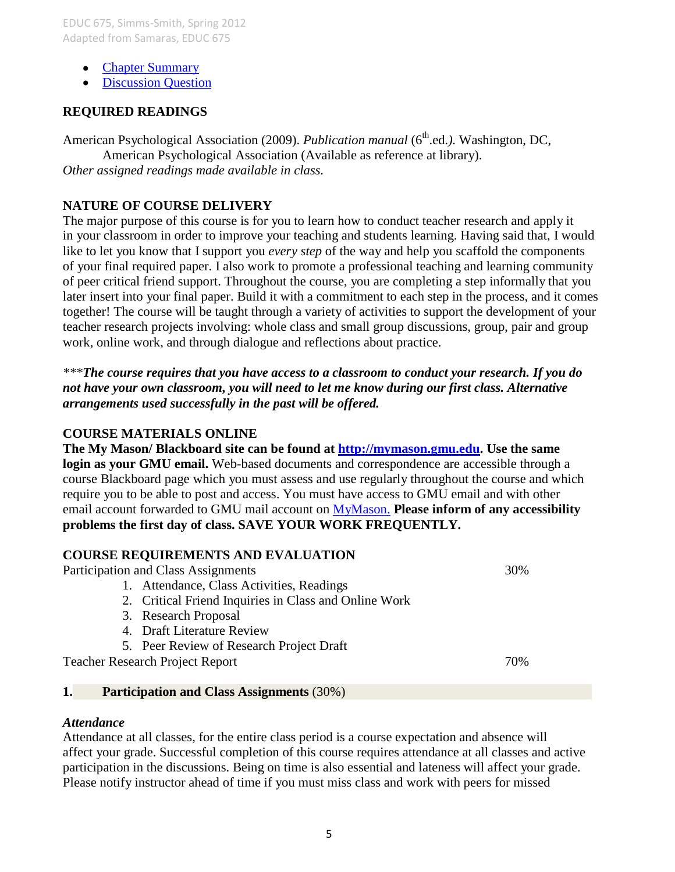- Chapter [Summary](http://www.sagepub.com/samaras/chapters/Chapter%20Summaries/Ch01Description.pdf)
- Discussion Ouestion

#### **REQUIRED READINGS**

American Psychological Association (2009). *Publication manual* (6<sup>th</sup>.ed.). Washington, DC, American Psychological Association (Available as reference at library). *Other assigned readings made available in class.*

#### **NATURE OF COURSE DELIVERY**

The major purpose of this course is for you to learn how to conduct teacher research and apply it in your classroom in order to improve your teaching and students learning. Having said that, I would like to let you know that I support you *every step* of the way and help you scaffold the components of your final required paper. I also work to promote a professional teaching and learning community of peer critical friend support. Throughout the course, you are completing a step informally that you later insert into your final paper. Build it with a commitment to each step in the process, and it comes together! The course will be taught through a variety of activities to support the development of your teacher research projects involving: whole class and small group discussions, group, pair and group work, online work, and through dialogue and reflections about practice.

*\*\*\*The course requires that you have access to a classroom to conduct your research. If you do not have your own classroom, you will need to let me know during our first class. Alternative arrangements used successfully in the past will be offered.*

#### **COURSE MATERIALS ONLINE**

**The My Mason/ Blackboard site can be found at [http://mymason.gmu.edu.](http://mymason.gmu.edu/) Use the same login as your GMU email.** Web-based documents and correspondence are accessible through a course Blackboard page which you must assess and use regularly throughout the course and which require you to be able to post and access. You must have access to GMU email and with other email account forwarded to GMU mail account on [MyMason.](https://mymasonportal.gmu.edu/webapps/portal/frameset.jsp) **Please inform of any accessibility problems the first day of class. SAVE YOUR WORK FREQUENTLY.**

#### **COURSE REQUIREMENTS AND EVALUATION**

Participation and Class Assignments 30%

- 1. Attendance, Class Activities, Readings
- 2. Critical Friend Inquiries in Class and Online Work
- 3. Research Proposal
- 4. Draft Literature Review
- 5. Peer Review of Research Project Draft

Teacher Research Project Report 70%

#### **1. Participation and Class Assignments** (30%)

#### *Attendance*

Attendance at all classes, for the entire class period is a course expectation and absence will affect your grade. Successful completion of this course requires attendance at all classes and active participation in the discussions. Being on time is also essential and lateness will affect your grade. Please notify instructor ahead of time if you must miss class and work with peers for missed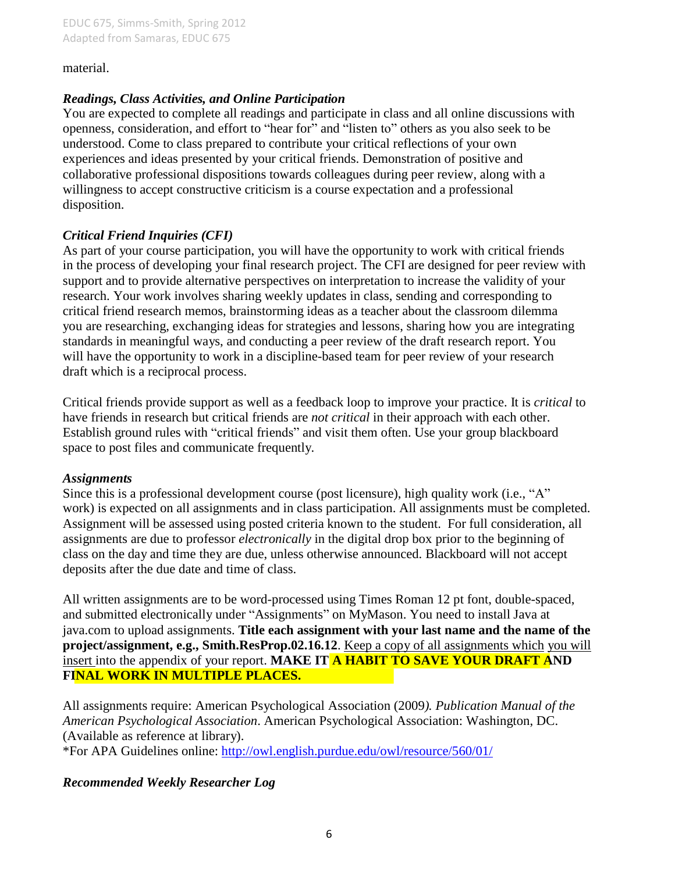material.

#### *Readings, Class Activities, and Online Participation*

You are expected to complete all readings and participate in class and all online discussions with openness, consideration, and effort to "hear for" and "listen to" others as you also seek to be understood. Come to class prepared to contribute your critical reflections of your own experiences and ideas presented by your critical friends. Demonstration of positive and collaborative professional dispositions towards colleagues during peer review, along with a willingness to accept constructive criticism is a course expectation and a professional disposition.

### *Critical Friend Inquiries (CFI)*

As part of your course participation, you will have the opportunity to work with critical friends in the process of developing your final research project. The CFI are designed for peer review with support and to provide alternative perspectives on interpretation to increase the validity of your research. Your work involves sharing weekly updates in class, sending and corresponding to critical friend research memos, brainstorming ideas as a teacher about the classroom dilemma you are researching, exchanging ideas for strategies and lessons, sharing how you are integrating standards in meaningful ways, and conducting a peer review of the draft research report. You will have the opportunity to work in a discipline-based team for peer review of your research draft which is a reciprocal process.

Critical friends provide support as well as a feedback loop to improve your practice. It is *critical* to have friends in research but critical friends are *not critical* in their approach with each other. Establish ground rules with "critical friends" and visit them often. Use your group blackboard space to post files and communicate frequently.

#### *Assignments*

Since this is a professional development course (post licensure), high quality work (i.e., "A" work) is expected on all assignments and in class participation. All assignments must be completed. Assignment will be assessed using posted criteria known to the student. For full consideration, all assignments are due to professor *electronically* in the digital drop box prior to the beginning of class on the day and time they are due, unless otherwise announced. Blackboard will not accept deposits after the due date and time of class.

All written assignments are to be word-processed using Times Roman 12 pt font, double-spaced, and submitted electronically under "Assignments" on MyMason. You need to install Java at java.com to upload assignments. **Title each assignment with your last name and the name of the project/assignment, e.g., Smith.ResProp.02.16.12**. Keep a copy of all assignments which you will insert into the appendix of your report. **MAKE IT A HABIT TO SAVE YOUR DRAFT AND FINAL WORK IN MULTIPLE PLACES.**

All assignments require: American Psychological Association (2009*). Publication Manual of the American Psychological Association*. American Psychological Association: Washington, DC. (Available as reference at library).

\*For APA Guidelines online:<http://owl.english.purdue.edu/owl/resource/560/01/>

# *Recommended Weekly Researcher Log*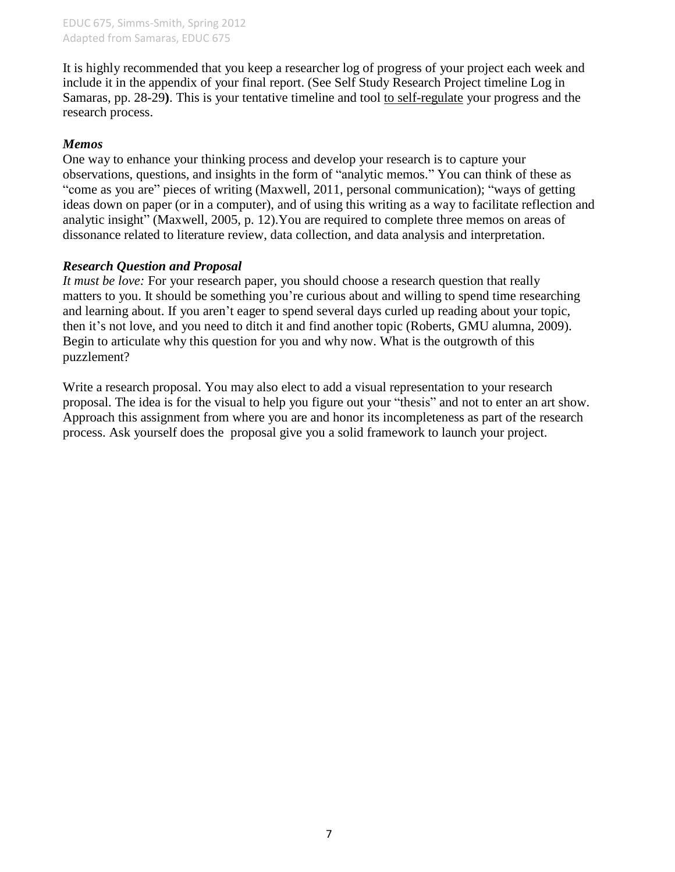It is highly recommended that you keep a researcher log of progress of your project each week and include it in the appendix of your final report. (See Self Study Research Project timeline Log in Samaras, pp. 28-29**)**. This is your tentative timeline and tool to self-regulate your progress and the research process.

#### *Memos*

One way to enhance your thinking process and develop your research is to capture your observations, questions, and insights in the form of "analytic memos." You can think of these as "come as you are" pieces of writing (Maxwell, 2011, personal communication); "ways of getting ideas down on paper (or in a computer), and of using this writing as a way to facilitate reflection and analytic insight" (Maxwell, 2005, p. 12).You are required to complete three memos on areas of dissonance related to literature review, data collection, and data analysis and interpretation.

#### *Research Question and Proposal*

*It must be love:* For your research paper, you should choose a research question that really matters to you. It should be something you're curious about and willing to spend time researching and learning about. If you aren't eager to spend several days curled up reading about your topic, then it's not love, and you need to ditch it and find another topic (Roberts, GMU alumna, 2009). Begin to articulate why this question for you and why now. What is the outgrowth of this puzzlement?

Write a research proposal. You may also elect to add a visual representation to your research proposal. The idea is for the visual to help you figure out your "thesis" and not to enter an art show. Approach this assignment from where you are and honor its incompleteness as part of the research process. Ask yourself does the proposal give you a solid framework to launch your project.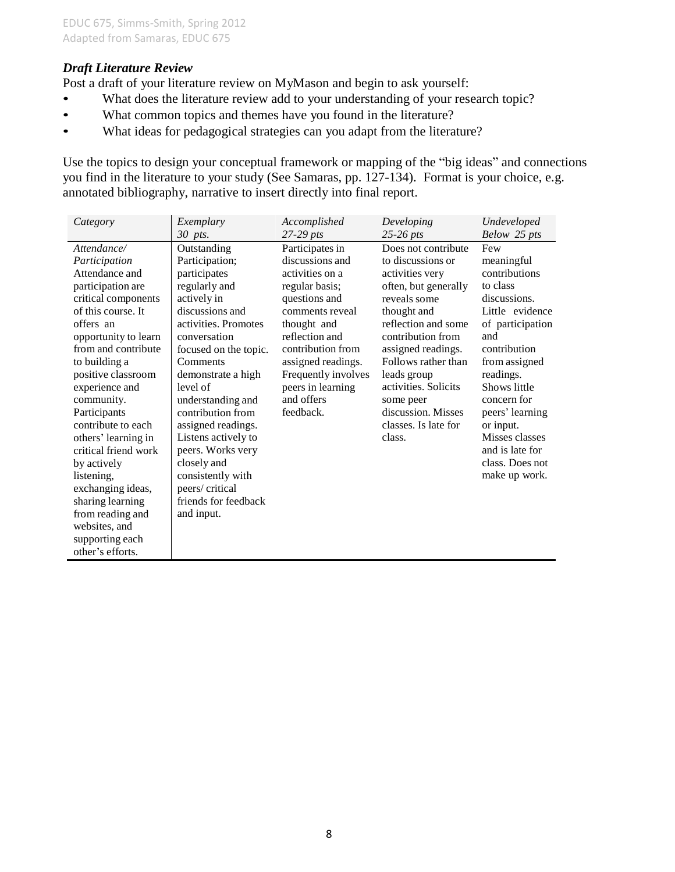#### *Draft Literature Review*

Post a draft of your literature review on MyMason and begin to ask yourself:

- What does the literature review add to your understanding of your research topic?
- What common topics and themes have you found in the literature?
- What ideas for pedagogical strategies can you adapt from the literature?

Use the topics to design your conceptual framework or mapping of the "big ideas" and connections you find in the literature to your study (See Samaras, pp. 127-134). Format is your choice, e.g. annotated bibliography, narrative to insert directly into final report.

| Category             | Exemplary             | Accomplished        | Developing           | Undeveloped      |
|----------------------|-----------------------|---------------------|----------------------|------------------|
|                      | 30 pts.               | $27-29$ pts         | $25-26$ pts          | Below 25 pts     |
| Attendance/          | Outstanding           | Participates in     | Does not contribute  | Few              |
| Participation        | Participation;        | discussions and     | to discussions or    | meaningful       |
| Attendance and       | participates          | activities on a     | activities very      | contributions    |
| participation are    | regularly and         | regular basis;      | often, but generally | to class         |
| critical components  | actively in           | questions and       | reveals some         | discussions.     |
| of this course. It   | discussions and       | comments reveal     | thought and          | Little evidence  |
| offers an            | activities. Promotes  | thought and         | reflection and some  | of participation |
| opportunity to learn | conversation          | reflection and      | contribution from    | and              |
| from and contribute  | focused on the topic. | contribution from   | assigned readings.   | contribution     |
| to building a        | Comments              | assigned readings.  | Follows rather than  | from assigned    |
| positive classroom   | demonstrate a high    | Frequently involves | leads group          | readings.        |
| experience and       | level of              | peers in learning   | activities. Solicits | Shows little     |
| community.           | understanding and     | and offers          | some peer            | concern for      |
| Participants         | contribution from     | feedback.           | discussion. Misses   | peers' learning  |
| contribute to each   | assigned readings.    |                     | classes. Is late for | or input.        |
| others' learning in  | Listens actively to   |                     | class.               | Misses classes   |
| critical friend work | peers. Works very     |                     |                      | and is late for  |
| by actively          | closely and           |                     |                      | class. Does not  |
| listening,           | consistently with     |                     |                      | make up work.    |
| exchanging ideas,    | peers/critical        |                     |                      |                  |
| sharing learning     | friends for feedback  |                     |                      |                  |
| from reading and     | and input.            |                     |                      |                  |
| websites, and        |                       |                     |                      |                  |
| supporting each      |                       |                     |                      |                  |
| other's efforts.     |                       |                     |                      |                  |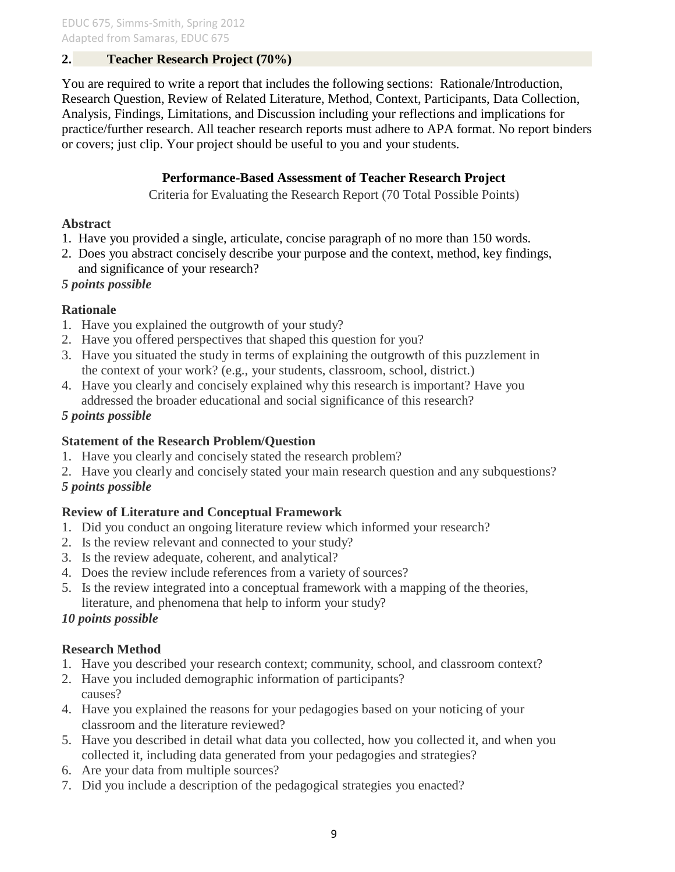# **2. Teacher Research Project (70%)**

You are required to write a report that includes the following sections: Rationale/Introduction, Research Question, Review of Related Literature, Method, Context, Participants, Data Collection, Analysis, Findings, Limitations, and Discussion including your reflections and implications for practice/further research. All teacher research reports must adhere to APA format. No report binders or covers; just clip. Your project should be useful to you and your students.

### **Performance-Based Assessment of Teacher Research Project**

Criteria for Evaluating the Research Report (70 Total Possible Points)

#### **Abstract**

- 1. Have you provided a single, articulate, concise paragraph of no more than 150 words.
- 2. Does you abstract concisely describe your purpose and the context, method, key findings, and significance of your research?

# *5 points possible*

### **Rationale**

- 1. Have you explained the outgrowth of your study?
- 2. Have you offered perspectives that shaped this question for you?
- 3. Have you situated the study in terms of explaining the outgrowth of this puzzlement in the context of your work? (e.g., your students, classroom, school, district.)
- 4. Have you clearly and concisely explained why this research is important? Have you addressed the broader educational and social significance of this research?

### *5 points possible*

### **Statement of the Research Problem/Question**

- 1. Have you clearly and concisely stated the research problem?
- 2. Have you clearly and concisely stated your main research question and any subquestions?

# *5 points possible*

# **Review of Literature and Conceptual Framework**

- 1. Did you conduct an ongoing literature review which informed your research?
- 2. Is the review relevant and connected to your study?
- 3. Is the review adequate, coherent, and analytical?
- 4. Does the review include references from a variety of sources?
- 5. Is the review integrated into a conceptual framework with a mapping of the theories, literature, and phenomena that help to inform your study?

# *10 points possible*

# **Research Method**

- 1. Have you described your research context; community, school, and classroom context?
- 2. Have you included demographic information of participants? causes?
- 4. Have you explained the reasons for your pedagogies based on your noticing of your classroom and the literature reviewed?
- 5. Have you described in detail what data you collected, how you collected it, and when you collected it, including data generated from your pedagogies and strategies?
- 6. Are your data from multiple sources?
- 7. Did you include a description of the pedagogical strategies you enacted?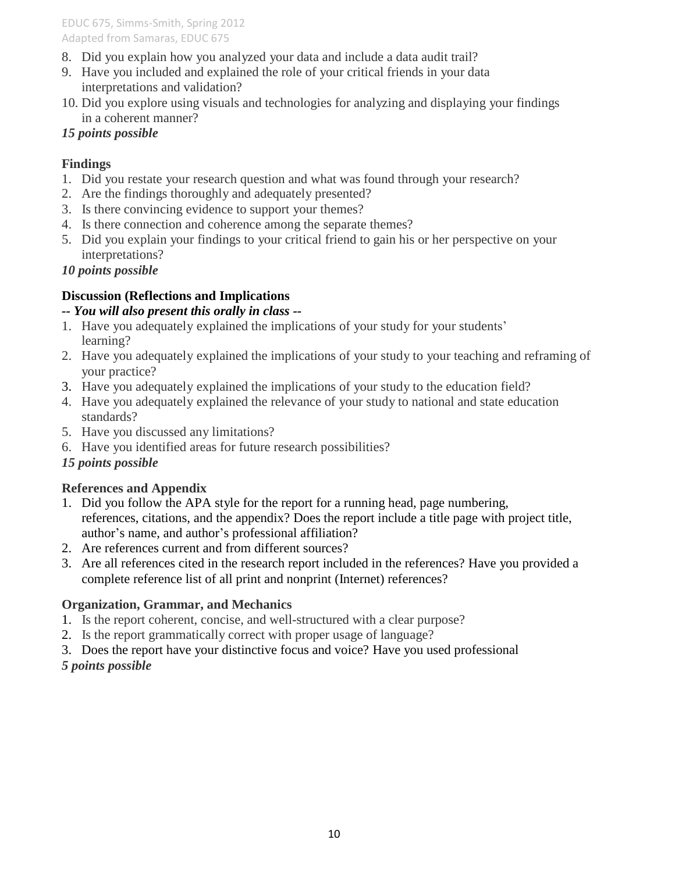- 8. Did you explain how you analyzed your data and include a data audit trail?
- 9. Have you included and explained the role of your critical friends in your data interpretations and validation?
- 10. Did you explore using visuals and technologies for analyzing and displaying your findings in a coherent manner?

### *15 points possible*

### **Findings**

- 1. Did you restate your research question and what was found through your research?
- 2. Are the findings thoroughly and adequately presented?
- 3. Is there convincing evidence to support your themes?
- 4. Is there connection and coherence among the separate themes?
- 5. Did you explain your findings to your critical friend to gain his or her perspective on your interpretations?

### *10 points possible*

# **Discussion (Reflections and Implications**

### *-- You will also present this orally in class --*

- 1. Have you adequately explained the implications of your study for your students' learning?
- 2. Have you adequately explained the implications of your study to your teaching and reframing of your practice?
- 3. Have you adequately explained the implications of your study to the education field?
- 4. Have you adequately explained the relevance of your study to national and state education standards?
- 5. Have you discussed any limitations?
- 6. Have you identified areas for future research possibilities?

# *15 points possible*

# **References and Appendix**

- 1. Did you follow the APA style for the report for a running head, page numbering, references, citations, and the appendix? Does the report include a title page with project title, author's name, and author's professional affiliation?
- 2. Are references current and from different sources?
- 3. Are all references cited in the research report included in the references? Have you provided a complete reference list of all print and nonprint (Internet) references?

# **Organization, Grammar, and Mechanics**

- 1. Is the report coherent, concise, and well-structured with a clear purpose?
- 2. Is the report grammatically correct with proper usage of language?
- 3. Does the report have your distinctive focus and voice? Have you used professional

# *5 points possible*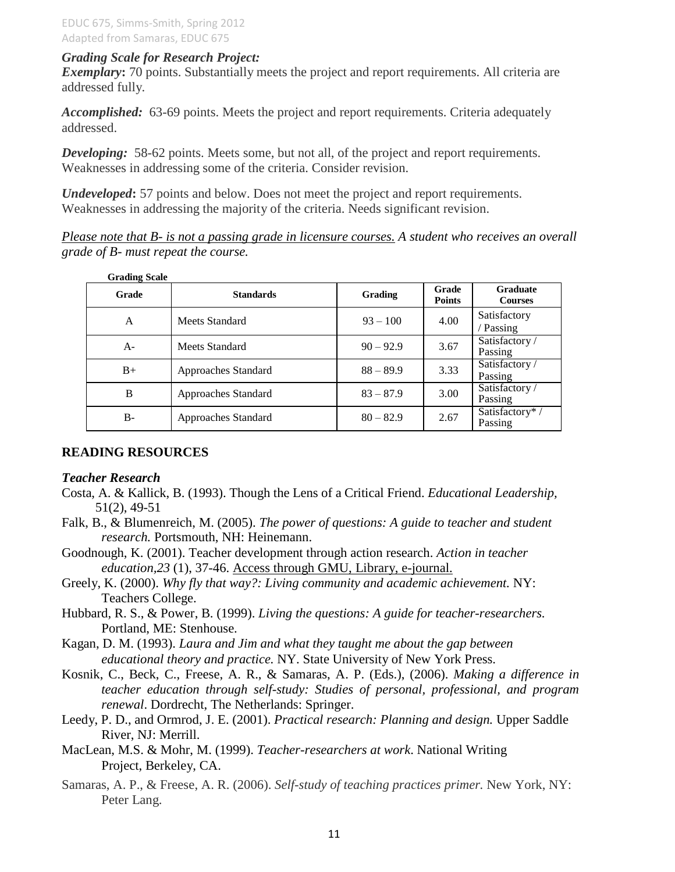#### *Grading Scale for Research Project:*

*Exemplary*: 70 points. Substantially meets the project and report requirements. All criteria are addressed fully.

*Accomplished:* 63-69 points. Meets the project and report requirements. Criteria adequately addressed.

*Developing:* 58-62 points. Meets some, but not all, of the project and report requirements. Weaknesses in addressing some of the criteria. Consider revision.

*Undeveloped***:** 57 points and below. Does not meet the project and report requirements. Weaknesses in addressing the majority of the criteria. Needs significant revision.

*Please note that B- is not a passing grade in licensure courses. A student who receives an overall grade of B- must repeat the course.*

| Grade | <b>Standards</b>    | Grading     | Grade<br><b>Points</b> | Graduate<br><b>Courses</b> |
|-------|---------------------|-------------|------------------------|----------------------------|
| A     | Meets Standard      | $93 - 100$  | 4.00                   | Satisfactory<br>/ Passing  |
| $A -$ | Meets Standard      | $90 - 92.9$ | 3.67                   | Satisfactory /<br>Passing  |
| $B+$  | Approaches Standard | $88 - 89.9$ | 3.33                   | Satisfactory /<br>Passing  |
| B     | Approaches Standard | $83 - 87.9$ | 3.00                   | Satisfactory /<br>Passing  |
| $B -$ | Approaches Standard | $80 - 82.9$ | 2.67                   | Satisfactory*/<br>Passing  |

#### **READING RESOURCES**

#### *Teacher Research*

- Costa, A. & Kallick, B. (1993). Though the Lens of a Critical Friend. *Educational Leadership,*  51(2), 49-51
- Falk, B., & Blumenreich, M. (2005). *The power of questions: A guide to teacher and student research.* Portsmouth, NH: Heinemann.
- Goodnough, K. (2001). Teacher development through action research. *Action in teacher education,23* (1), 37-46. Access through GMU, Library, e-journal.
- Greely, K. (2000). *Why fly that way?: Living community and academic achievement.* NY: Teachers College.
- Hubbard, R. S., & Power, B. (1999). *Living the questions: A guide for teacher-researchers.* Portland, ME: Stenhouse.
- Kagan, D. M. (1993). *Laura and Jim and what they taught me about the gap between educational theory and practice.* NY. State University of New York Press.
- Kosnik, C., Beck, C., Freese, A. R., & Samaras, A. P. (Eds.), (2006). *Making a difference in teacher education through self-study: Studies of personal, professional, and program renewal*. Dordrecht, The Netherlands: Springer.
- Leedy, P. D., and Ormrod, J. E. (2001). *Practical research: Planning and design.* Upper Saddle River, NJ: Merrill.
- MacLean, M.S. & Mohr, M. (1999). *Teacher-researchers at work*. National Writing Project, Berkeley, CA.
- Samaras, A. P., & Freese, A. R. (2006). *Self-study of teaching practices primer.* New York, NY: Peter Lang.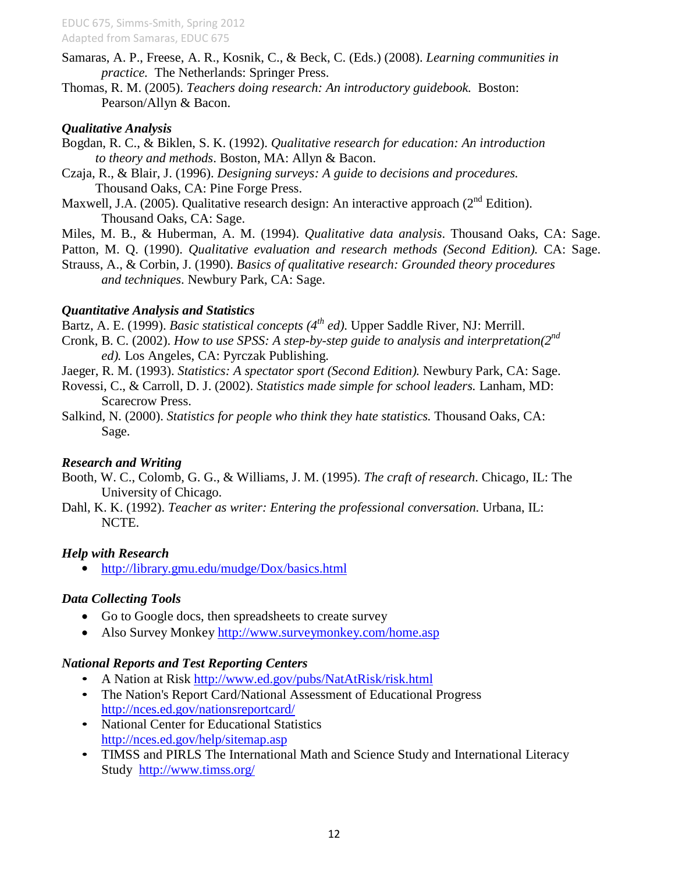- Samaras, A. P., Freese, A. R., Kosnik, C., & Beck, C. (Eds.) (2008). *Learning communities in practice.* The Netherlands: Springer Press.
- Thomas, R. M. (2005). *Teachers doing research: An introductory guidebook.* Boston: Pearson/Allyn & Bacon.

#### *Qualitative Analysis*

- Bogdan, R. C., & Biklen, S. K. (1992). *Qualitative research for education: An introduction to theory and methods*. Boston, MA: Allyn & Bacon.
- Czaja, R., & Blair, J. (1996). *Designing surveys: A guide to decisions and procedures.*  Thousand Oaks, CA: Pine Forge Press.
- Maxwell, J.A. (2005). Qualitative research design: An interactive approach ( $2<sup>nd</sup>$  Edition). Thousand Oaks, CA: Sage.
- Miles, M. B., & Huberman, A. M. (1994). *Qualitative data analysis*. Thousand Oaks, CA: Sage.

Patton, M. Q. (1990). *Qualitative evaluation and research methods (Second Edition).* CA: Sage.

Strauss, A., & Corbin, J. (1990). *Basics of qualitative research: Grounded theory procedures and techniques*. Newbury Park, CA: Sage.

#### *Quantitative Analysis and Statistics*

- Bartz, A. E. (1999). *Basic statistical concepts (4 th ed)*. Upper Saddle River, NJ: Merrill.
- Cronk, B. C. (2002). How to use SPSS: A step-by-step guide to analysis and interpretation(2<sup>nd</sup> *ed).* Los Angeles, CA: Pyrczak Publishing.
- Jaeger, R. M. (1993). *Statistics: A spectator sport (Second Edition).* Newbury Park, CA: Sage.
- Rovessi, C., & Carroll, D. J. (2002). *Statistics made simple for school leaders.* Lanham, MD: Scarecrow Press.
- Salkind, N. (2000). *Statistics for people who think they hate statistics.* Thousand Oaks, CA: Sage.

#### *Research and Writing*

- Booth, W. C., Colomb, G. G., & Williams, J. M. (1995). *The craft of research*. Chicago, IL: The University of Chicago.
- Dahl, K. K. (1992). *Teacher as writer: Entering the professional conversation.* Urbana, IL: NCTE.

#### *Help with Research*

<http://library.gmu.edu/mudge/Dox/basics.html>

#### *Data Collecting Tools*

- Go to Google docs, then spreadsheets to create survey
- Also Survey Monkey<http://www.surveymonkey.com/home.asp>

#### *National Reports and Test Reporting Centers*

- A Nation at Risk<http://www.ed.gov/pubs/NatAtRisk/risk.html>
- The [Nation's Report Card](http://nces.ed.gov/nationsreportcard/)/National Assessment of Educational Progress <http://nces.ed.gov/nationsreportcard/>
- National Center for Educational Statistics <http://nces.ed.gov/help/sitemap.asp>
- TIMSS and PIRLS The [International Math and Science](http://www.timss.org/) Study and International Literacy Study <http://www.timss.org/>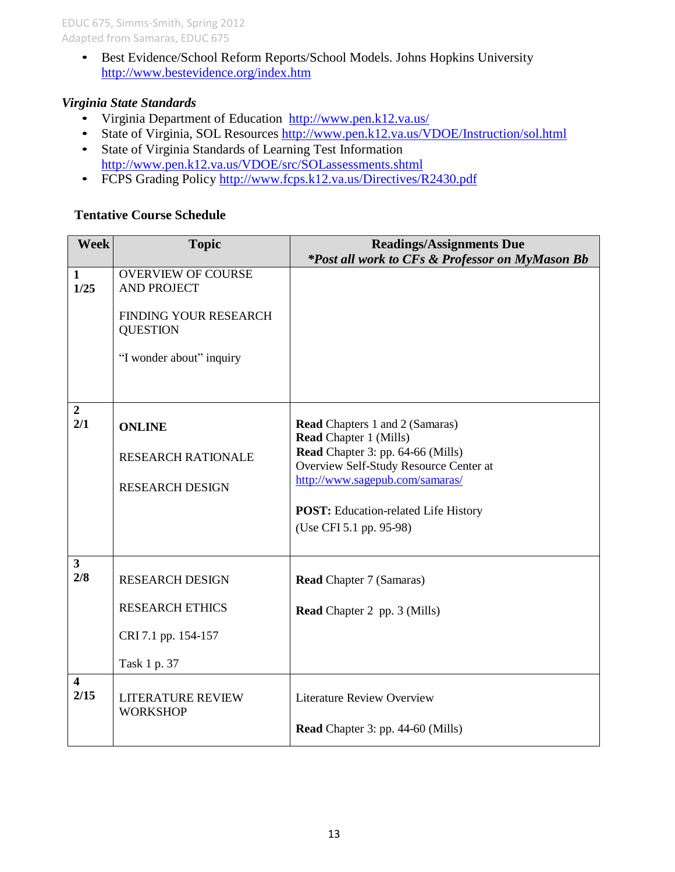• Best Evidence/School Reform Reports/School Models. Johns Hopkins University <http://www.bestevidence.org/index.htm>

#### *Virginia State Standards*

- Virginia [Department of](http://www.pen.k12.va.us/) Education <http://www.pen.k12.va.us/>
- State of Virginia, SOL Resources<http://www.pen.k12.va.us/VDOE/Instruction/sol.html>
- State of Virginia Standards of Learning Test Information <http://www.pen.k12.va.us/VDOE/src/SOLassessments.shtml>
- FCPS Grading Policy<http://www.fcps.k12.va.us/Directives/R2430.pdf>

# **Tentative Course Schedule**

| <b>Week</b>                     | <b>Topic</b>                                    | <b>Readings/Assignments Due</b>                                             |
|---------------------------------|-------------------------------------------------|-----------------------------------------------------------------------------|
|                                 |                                                 | *Post all work to CFs & Professor on MyMason Bb                             |
| $\mathbf{1}$<br>1/25            | <b>OVERVIEW OF COURSE</b><br><b>AND PROJECT</b> |                                                                             |
|                                 |                                                 |                                                                             |
|                                 | FINDING YOUR RESEARCH                           |                                                                             |
|                                 | <b>QUESTION</b>                                 |                                                                             |
|                                 | "I wonder about" inquiry                        |                                                                             |
|                                 |                                                 |                                                                             |
|                                 |                                                 |                                                                             |
| $\overline{2}$                  |                                                 |                                                                             |
| 2/1                             | <b>ONLINE</b>                                   | <b>Read</b> Chapters 1 and 2 (Samaras)                                      |
|                                 |                                                 | <b>Read Chapter 1 (Mills)</b>                                               |
|                                 | <b>RESEARCH RATIONALE</b>                       | Read Chapter 3: pp. 64-66 (Mills)<br>Overview Self-Study Resource Center at |
|                                 |                                                 | http://www.sagepub.com/samaras/                                             |
|                                 | <b>RESEARCH DESIGN</b>                          |                                                                             |
|                                 |                                                 | <b>POST:</b> Education-related Life History                                 |
|                                 |                                                 | (Use CFI 5.1 pp. 95-98)                                                     |
|                                 |                                                 |                                                                             |
| $\mathbf{3}$                    |                                                 |                                                                             |
| 2/8                             | <b>RESEARCH DESIGN</b>                          | <b>Read Chapter 7 (Samaras)</b>                                             |
|                                 | <b>RESEARCH ETHICS</b>                          | <b>Read</b> Chapter 2 pp. 3 (Mills)                                         |
|                                 |                                                 |                                                                             |
|                                 | CRI 7.1 pp. 154-157                             |                                                                             |
|                                 | Task 1 p. 37                                    |                                                                             |
| $\overline{\mathbf{4}}$<br>2/15 |                                                 |                                                                             |
|                                 | <b>LITERATURE REVIEW</b><br><b>WORKSHOP</b>     | <b>Literature Review Overview</b>                                           |
|                                 |                                                 | <b>Read</b> Chapter 3: pp. 44-60 (Mills)                                    |
|                                 |                                                 |                                                                             |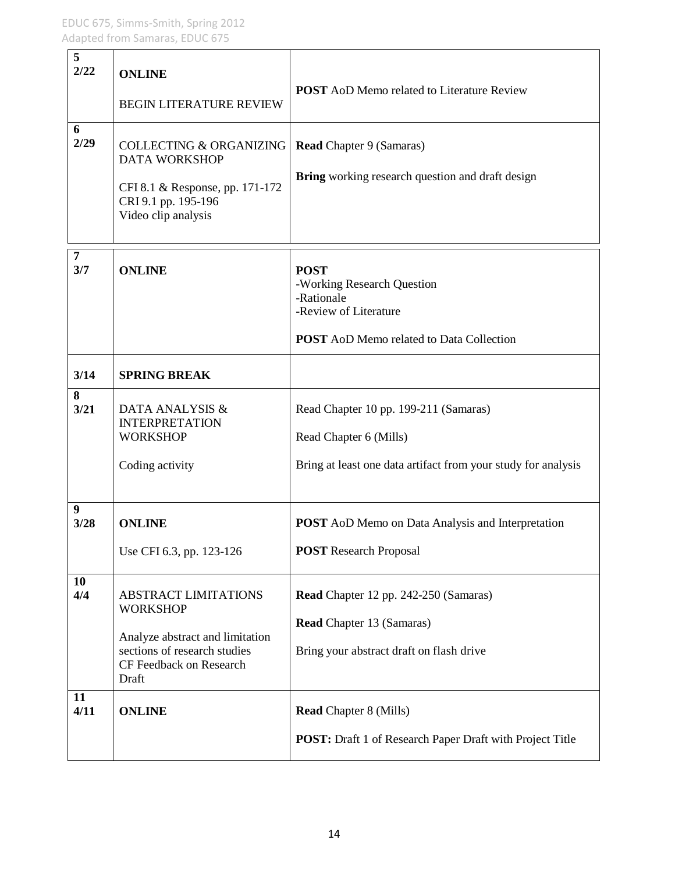| 5<br>2/22             | <b>ONLINE</b><br><b>BEGIN LITERATURE REVIEW</b>                                                                                                       | <b>POST</b> AoD Memo related to Literature Review                                                                                   |
|-----------------------|-------------------------------------------------------------------------------------------------------------------------------------------------------|-------------------------------------------------------------------------------------------------------------------------------------|
| 6<br>2/29             | <b>COLLECTING &amp; ORGANIZING</b><br><b>DATA WORKSHOP</b><br>CFI 8.1 & Response, pp. 171-172<br>CRI 9.1 pp. 195-196<br>Video clip analysis           | <b>Read Chapter 9 (Samaras)</b><br>Bring working research question and draft design                                                 |
| $\overline{7}$<br>3/7 | <b>ONLINE</b>                                                                                                                                         | <b>POST</b><br>-Working Research Question<br>-Rationale<br>-Review of Literature<br><b>POST</b> AoD Memo related to Data Collection |
| 3/14                  | <b>SPRING BREAK</b>                                                                                                                                   |                                                                                                                                     |
| 8<br>3/21             | DATA ANALYSIS &<br><b>INTERPRETATION</b><br><b>WORKSHOP</b><br>Coding activity                                                                        | Read Chapter 10 pp. 199-211 (Samaras)<br>Read Chapter 6 (Mills)<br>Bring at least one data artifact from your study for analysis    |
| 9<br>3/28             | <b>ONLINE</b><br>Use CFI 6.3, pp. 123-126                                                                                                             | <b>POST</b> AoD Memo on Data Analysis and Interpretation<br><b>POST</b> Research Proposal                                           |
| 10<br>4/4             | <b>ABSTRACT LIMITATIONS</b><br><b>WORKSHOP</b><br>Analyze abstract and limitation<br>sections of research studies<br>CF Feedback on Research<br>Draft | Read Chapter 12 pp. 242-250 (Samaras)<br><b>Read Chapter 13 (Samaras)</b><br>Bring your abstract draft on flash drive               |
| 11<br>4/11            | <b>ONLINE</b>                                                                                                                                         | <b>Read Chapter 8 (Mills)</b><br><b>POST:</b> Draft 1 of Research Paper Draft with Project Title                                    |